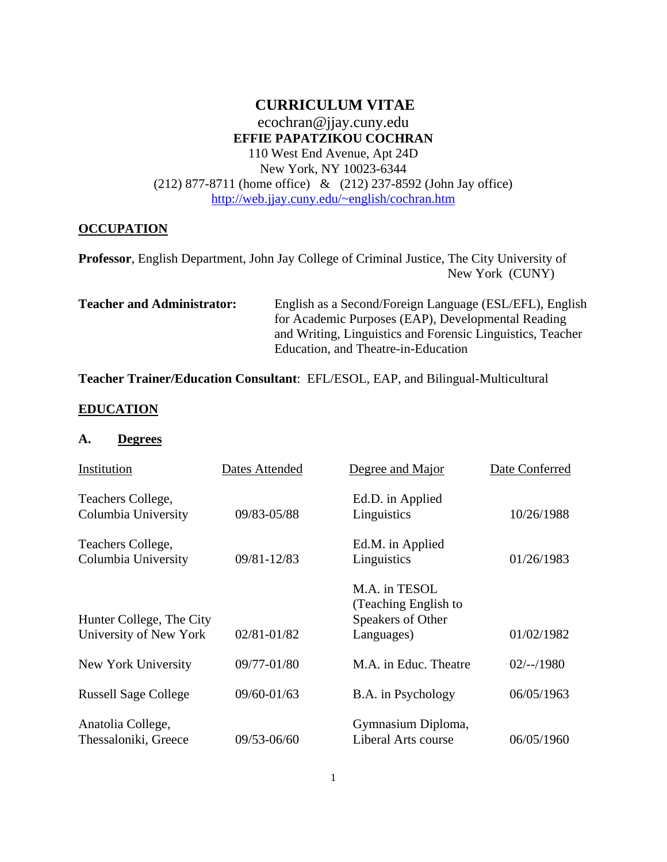#### **CURRICULUM VITAE**  ecochran@jjay.cuny.edu **EFFIE PAPATZIKOU COCHRAN**  110 West End Avenue, Apt 24D New York, NY 10023-6344

(212) 877-8711 (home office) & (212) 237-8592 (John Jay office) http://web.jjay.cuny.edu/~english/cochran.htm

#### **OCCUPATION**

**Professor**, English Department, John Jay College of Criminal Justice, The City University of New York (CUNY)

**Teacher and Administrator:** English as a Second/Foreign Language (ESL/EFL), English for Academic Purposes (EAP), Developmental Reading and Writing, Linguistics and Forensic Linguistics, Teacher Education, and Theatre-in-Education

**Teacher Trainer/Education Consultant**: EFL/ESOL, EAP, and Bilingual-Multicultural

#### **EDUCATION**

#### **A. Degrees**

| Institution                                        | Dates Attended | Degree and Major                                                         | Date Conferred |
|----------------------------------------------------|----------------|--------------------------------------------------------------------------|----------------|
| Teachers College,<br>Columbia University           | 09/83-05/88    | Ed.D. in Applied<br>Linguistics                                          | 10/26/1988     |
| Teachers College,<br>Columbia University           | 09/81-12/83    | Ed.M. in Applied<br>Linguistics                                          | 01/26/1983     |
| Hunter College, The City<br>University of New York | 02/81-01/82    | M.A. in TESOL<br>(Teaching English to<br>Speakers of Other<br>Languages) | 01/02/1982     |
| New York University                                | 09/77-01/80    | M.A. in Educ. Theatre                                                    | $02/-/1980$    |
| <b>Russell Sage College</b>                        | 09/60-01/63    | B.A. in Psychology                                                       | 06/05/1963     |
| Anatolia College,<br>Thessaloniki, Greece          | 09/53-06/60    | Gymnasium Diploma,<br>Liberal Arts course                                | 06/05/1960     |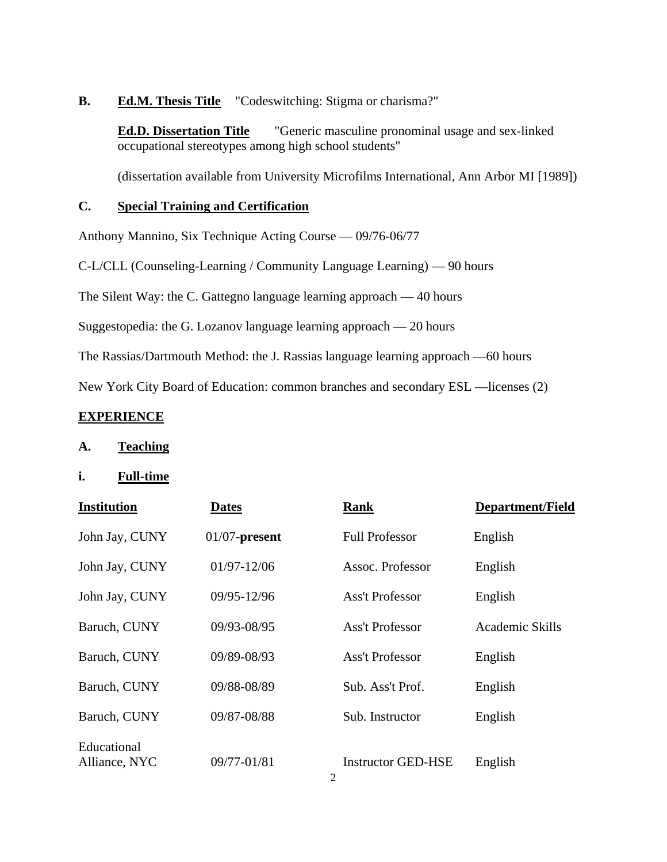#### **B.** Ed.M. Thesis Title "Codeswitching: Stigma or charisma?"

 **Ed.D. Dissertation Title** "Generic masculine pronominal usage and sex-linked occupational stereotypes among high school students"

(dissertation available from University Microfilms International, Ann Arbor MI [1989])

#### **C. Special Training and Certification**

Anthony Mannino, Six Technique Acting Course — 09/76-06/77

C-L/CLL (Counseling-Learning / Community Language Learning) — 90 hours

The Silent Way: the C. Gattegno language learning approach — 40 hours

Suggestopedia: the G. Lozanov language learning approach — 20 hours

The Rassias/Dartmouth Method: the J. Rassias language learning approach —60 hours

New York City Board of Education: common branches and secondary ESL —licenses (2)

#### **EXPERIENCE**

- **A. Teaching**
- **i. Full-time**

| <b>Institution</b>           | <b>Dates</b>     | <b>Rank</b>               | <b>Department/Field</b> |
|------------------------------|------------------|---------------------------|-------------------------|
| John Jay, CUNY               | $01/07$ -present | <b>Full Professor</b>     | English                 |
| John Jay, CUNY               | $01/97 - 12/06$  | Assoc. Professor          | English                 |
| John Jay, CUNY               | 09/95-12/96      | <b>Ass't Professor</b>    | English                 |
| Baruch, CUNY                 | 09/93-08/95      | <b>Ass't Professor</b>    | Academic Skills         |
| Baruch, CUNY                 | 09/89-08/93      | <b>Ass't Professor</b>    | English                 |
| Baruch, CUNY                 | 09/88-08/89      | Sub. Ass't Prof.          | English                 |
| Baruch, CUNY                 | 09/87-08/88      | Sub. Instructor           | English                 |
| Educational<br>Alliance, NYC | 09/77-01/81      | <b>Instructor GED-HSE</b> | English                 |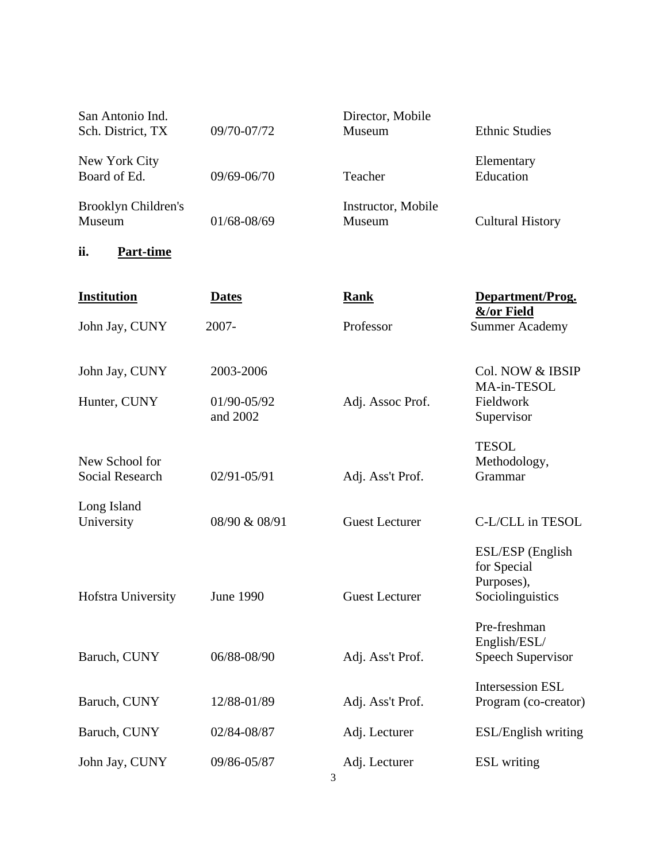| San Antonio Ind.<br>Sch. District, TX    | 09/70-07/72             | Director, Mobile<br>Museum   | <b>Ethnic Studies</b>                                             |
|------------------------------------------|-------------------------|------------------------------|-------------------------------------------------------------------|
| New York City<br>Board of Ed.            | 09/69-06/70             | Teacher                      | Elementary<br>Education                                           |
| Brooklyn Children's<br>Museum            | 01/68-08/69             | Instructor, Mobile<br>Museum | <b>Cultural History</b>                                           |
| ii.<br><b>Part-time</b>                  |                         |                              |                                                                   |
| <b>Institution</b>                       | <b>Dates</b>            | <b>Rank</b>                  | Department/Prog.<br>&/or Field                                    |
| John Jay, CUNY                           | 2007-                   | Professor                    | <b>Summer Academy</b>                                             |
| John Jay, CUNY                           | 2003-2006               |                              | Col. NOW & IBSIP<br>MA-in-TESOL                                   |
| Hunter, CUNY                             | 01/90-05/92<br>and 2002 | Adj. Assoc Prof.             | Fieldwork<br>Supervisor                                           |
| New School for<br><b>Social Research</b> | 02/91-05/91             | Adj. Ass't Prof.             | <b>TESOL</b><br>Methodology,<br>Grammar                           |
| Long Island<br>University                | 08/90 & 08/91           | <b>Guest Lecturer</b>        | C-L/CLL in TESOL                                                  |
| Hofstra University                       | <b>June 1990</b>        | <b>Guest Lecturer</b>        | ESL/ESP (English<br>for Special<br>Purposes),<br>Sociolinguistics |
| Baruch, CUNY                             | 06/88-08/90             | Adj. Ass't Prof.             | Pre-freshman<br>English/ESL/<br><b>Speech Supervisor</b>          |
| Baruch, CUNY                             | 12/88-01/89             | Adj. Ass't Prof.             | <b>Intersession ESL</b><br>Program (co-creator)                   |
| Baruch, CUNY                             | 02/84-08/87             | Adj. Lecturer                | ESL/English writing                                               |
| John Jay, CUNY                           | 09/86-05/87<br>3        | Adj. Lecturer                | <b>ESL</b> writing                                                |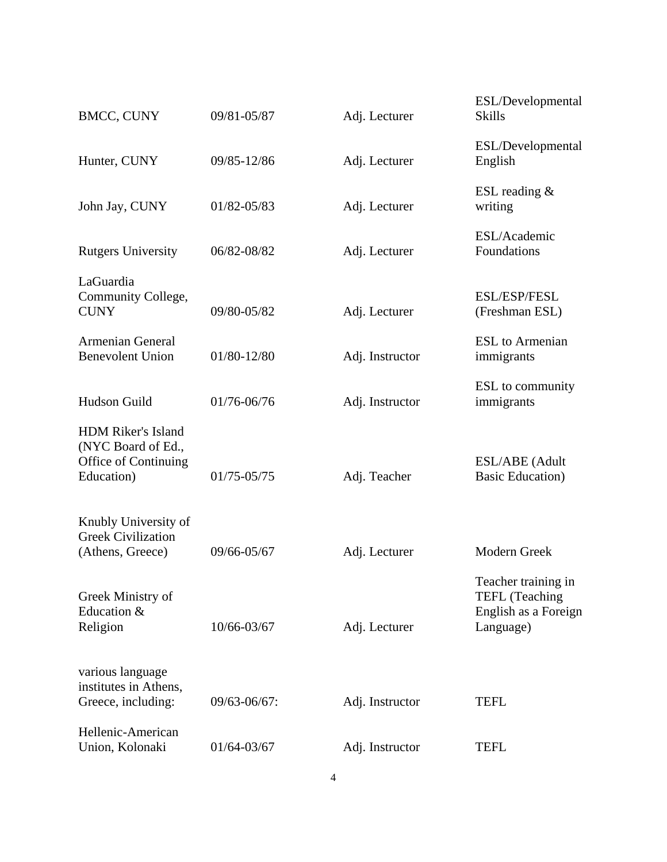| <b>BMCC, CUNY</b>                                                                     | 09/81-05/87  | Adj. Lecturer   | ESL/Developmental<br><b>Skills</b>                  |
|---------------------------------------------------------------------------------------|--------------|-----------------|-----------------------------------------------------|
| Hunter, CUNY                                                                          | 09/85-12/86  | Adj. Lecturer   | ESL/Developmental<br>English                        |
| John Jay, CUNY                                                                        | 01/82-05/83  | Adj. Lecturer   | ESL reading $&$<br>writing                          |
| <b>Rutgers University</b>                                                             | 06/82-08/82  | Adj. Lecturer   | ESL/Academic<br>Foundations                         |
| LaGuardia<br>Community College,<br><b>CUNY</b>                                        | 09/80-05/82  | Adj. Lecturer   | <b>ESL/ESP/FESL</b><br>(Freshman ESL)               |
| <b>Armenian General</b><br><b>Benevolent Union</b>                                    | 01/80-12/80  | Adj. Instructor | <b>ESL</b> to Armenian<br>immigrants                |
| Hudson Guild                                                                          | 01/76-06/76  | Adj. Instructor | ESL to community<br>immigrants                      |
| <b>HDM Riker's Island</b><br>(NYC Board of Ed.,<br>Office of Continuing<br>Education) | 01/75-05/75  | Adj. Teacher    | ESL/ABE (Adult<br><b>Basic Education</b> )          |
| Knubly University of<br><b>Greek Civilization</b><br>(Athens, Greece)                 | 09/66-05/67  | Adj. Lecturer   | Modern Greek<br>Teacher training in                 |
| Greek Ministry of<br>Education &<br>Religion                                          | 10/66-03/67  | Adj. Lecturer   | TEFL (Teaching<br>English as a Foreign<br>Language) |
| various language<br>institutes in Athens,<br>Greece, including:                       | 09/63-06/67: | Adj. Instructor | <b>TEFL</b>                                         |
| Hellenic-American<br>Union, Kolonaki                                                  | 01/64-03/67  | Adj. Instructor | <b>TEFL</b>                                         |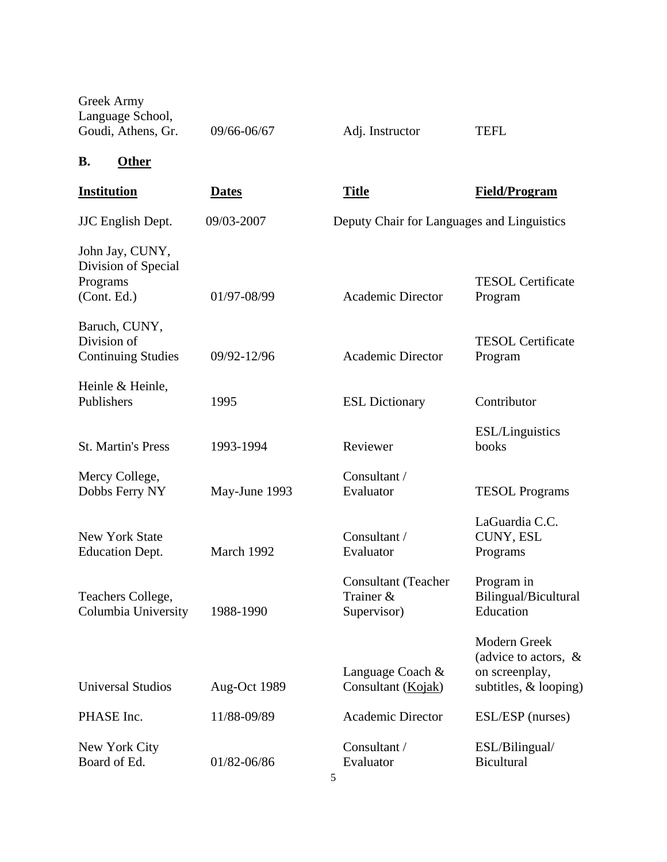| Greek Army<br>Language School,<br>Goudi, Athens, Gr.              | 09/66-06/67   | Adj. Instructor                                 | <b>TEFL</b>                                                                          |
|-------------------------------------------------------------------|---------------|-------------------------------------------------|--------------------------------------------------------------------------------------|
| <b>Other</b><br><b>B.</b>                                         |               |                                                 |                                                                                      |
| <b>Institution</b>                                                | <b>Dates</b>  | <b>Title</b>                                    | <b>Field/Program</b>                                                                 |
| <b>JJC</b> English Dept.                                          | 09/03-2007    | Deputy Chair for Languages and Linguistics      |                                                                                      |
| John Jay, CUNY,<br>Division of Special<br>Programs<br>(Cont. Ed.) | 01/97-08/99   | <b>Academic Director</b>                        | <b>TESOL</b> Certificate<br>Program                                                  |
| Baruch, CUNY,<br>Division of<br><b>Continuing Studies</b>         | 09/92-12/96   | <b>Academic Director</b>                        | <b>TESOL Certificate</b><br>Program                                                  |
| Heinle & Heinle,<br>Publishers                                    | 1995          | <b>ESL Dictionary</b>                           | Contributor                                                                          |
| <b>St. Martin's Press</b>                                         | 1993-1994     | Reviewer                                        | <b>ESL/Linguistics</b><br>books                                                      |
| Mercy College,<br>Dobbs Ferry NY                                  | May-June 1993 | Consultant /<br>Evaluator                       | <b>TESOL Programs</b>                                                                |
| <b>New York State</b><br><b>Education Dept.</b>                   | March 1992    | Consultant /<br>Evaluator                       | LaGuardia C.C.<br>CUNY, ESL<br>Programs                                              |
| Teachers College,<br>Columbia University                          | 1988-1990     | Consultant (Teacher<br>Trainer &<br>Supervisor) | Program in<br>Bilingual/Bicultural<br>Education                                      |
| <b>Universal Studios</b>                                          | Aug-Oct 1989  | Language Coach &<br>Consultant (Kojak)          | Modern Greek<br>(advice to actors, $\&$<br>on screenplay,<br>subtitles, $&$ looping) |
| PHASE Inc.                                                        | 11/88-09/89   | <b>Academic Director</b>                        | ESL/ESP (nurses)                                                                     |
| New York City<br>Board of Ed.                                     | 01/82-06/86   | Consultant /<br>Evaluator                       | ESL/Bilingual/<br><b>Bicultural</b>                                                  |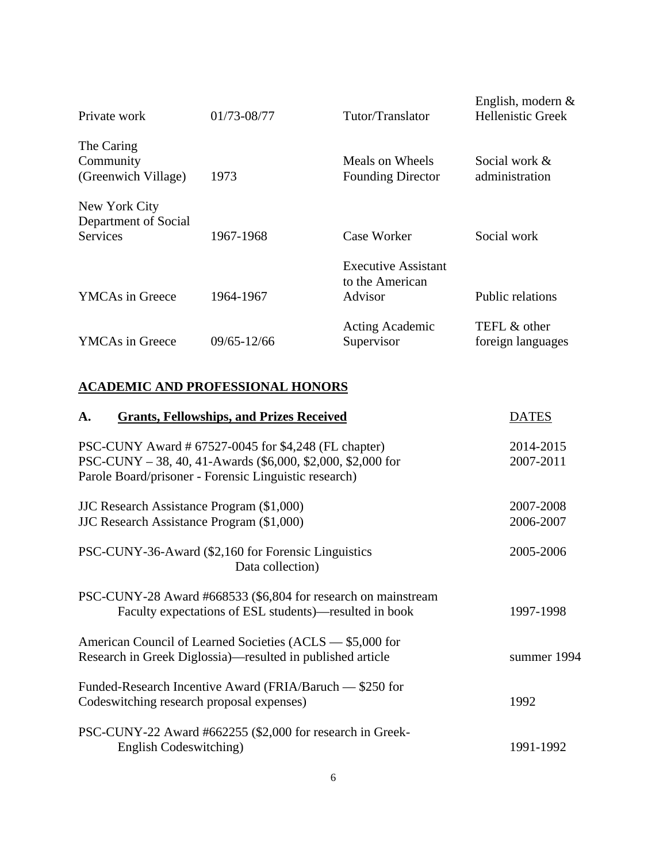| Private work                                             | 01/73-08/77 | Tutor/Translator                                         | English, modern $&$<br><b>Hellenistic Greek</b> |
|----------------------------------------------------------|-------------|----------------------------------------------------------|-------------------------------------------------|
| The Caring<br>Community<br>(Greenwich Village)           | 1973        | Meals on Wheels<br><b>Founding Director</b>              | Social work &<br>administration                 |
| New York City<br>Department of Social<br><b>Services</b> | 1967-1968   | Case Worker                                              | Social work                                     |
| <b>YMCAs in Greece</b>                                   | 1964-1967   | <b>Executive Assistant</b><br>to the American<br>Advisor | Public relations                                |
| <b>YMCAs in Greece</b>                                   | 09/65-12/66 | <b>Acting Academic</b><br>Supervisor                     | TEFL & other<br>foreign languages               |

### **ACADEMIC AND PROFESSIONAL HONORS**

| A.<br><b>Grants, Fellowships, and Prizes Received</b>                                                                                                                        | <b>DATES</b>           |
|------------------------------------------------------------------------------------------------------------------------------------------------------------------------------|------------------------|
| PSC-CUNY Award # 67527-0045 for \$4,248 (FL chapter)<br>PSC-CUNY - 38, 40, 41-Awards (\$6,000, \$2,000, \$2,000 for<br>Parole Board/prisoner - Forensic Linguistic research) | 2014-2015<br>2007-2011 |
| <b>JJC</b> Research Assistance Program (\$1,000)<br>JJC Research Assistance Program (\$1,000)                                                                                | 2007-2008<br>2006-2007 |
| PSC-CUNY-36-Award (\$2,160 for Forensic Linguistics<br>Data collection)                                                                                                      | 2005-2006              |
| PSC-CUNY-28 Award #668533 (\$6,804 for research on mainstream<br>Faculty expectations of ESL students)—resulted in book                                                      | 1997-1998              |
| American Council of Learned Societies (ACLS — \$5,000 for<br>Research in Greek Diglossia)—resulted in published article                                                      | summer 1994            |
| Funded-Research Incentive Award (FRIA/Baruch — \$250 for<br>Codeswitching research proposal expenses)                                                                        | 1992                   |
| PSC-CUNY-22 Award #662255 (\$2,000 for research in Greek-<br>English Codeswitching)                                                                                          | 1991-1992              |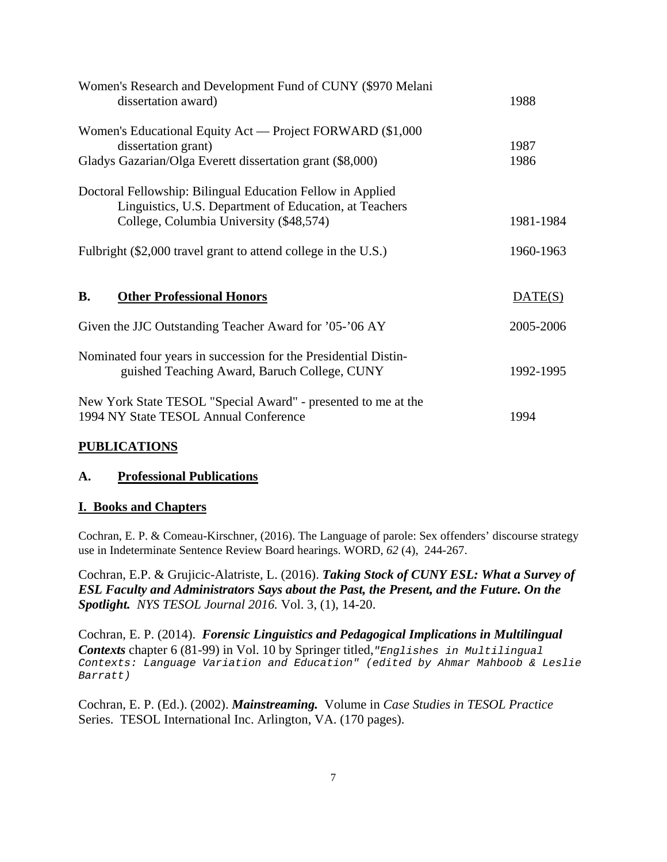| Women's Research and Development Fund of CUNY (\$970 Melani<br>dissertation award)                                                                              | 1988      |
|-----------------------------------------------------------------------------------------------------------------------------------------------------------------|-----------|
| Women's Educational Equity Act — Project FORWARD (\$1,000)<br>dissertation grant)                                                                               | 1987      |
| Gladys Gazarian/Olga Everett dissertation grant (\$8,000)                                                                                                       | 1986      |
| Doctoral Fellowship: Bilingual Education Fellow in Applied<br>Linguistics, U.S. Department of Education, at Teachers<br>College, Columbia University (\$48,574) | 1981-1984 |
| Fulbright (\$2,000 travel grant to attend college in the U.S.)                                                                                                  | 1960-1963 |
|                                                                                                                                                                 |           |
| <b>Other Professional Honors</b><br><b>B.</b>                                                                                                                   | DATE(S)   |
| Given the JJC Outstanding Teacher Award for '05-'06 AY                                                                                                          | 2005-2006 |
| Nominated four years in succession for the Presidential Distin-<br>guished Teaching Award, Baruch College, CUNY                                                 | 1992-1995 |
| New York State TESOL "Special Award" - presented to me at the<br>1994 NY State TESOL Annual Conference                                                          | 1994      |

#### **PUBLICATIONS**

#### **A. Professional Publications**

#### **I. Books and Chapters**

Cochran, E. P. & Comeau-Kirschner, (2016). The Language of parole: Sex offenders' discourse strategy use in Indeterminate Sentence Review Board hearings. WORD, *62* (4), 244-267.

Cochran, E.P. & Grujicic-Alatriste, L. (2016). *Taking Stock of CUNY ESL: What a Survey of ESL Faculty and Administrators Says about the Past, the Present, and the Future. On the Spotlight. NYS TESOL Journal 2016.* Vol. 3, (1), 14-20.

Cochran, E. P. (2014). *Forensic Linguistics and Pedagogical Implications in Multilingual Contexts* chapter 6 (81-99) in Vol. 10 by Springer titled,*"Englishes in Multilingual Contexts: Language Variation and Education" (edited by Ahmar Mahboob & Leslie Barratt)*

Cochran, E. P. (Ed.). (2002). *Mainstreaming.* Volume in *Case Studies in TESOL Practice*  Series. TESOL International Inc. Arlington, VA. (170 pages).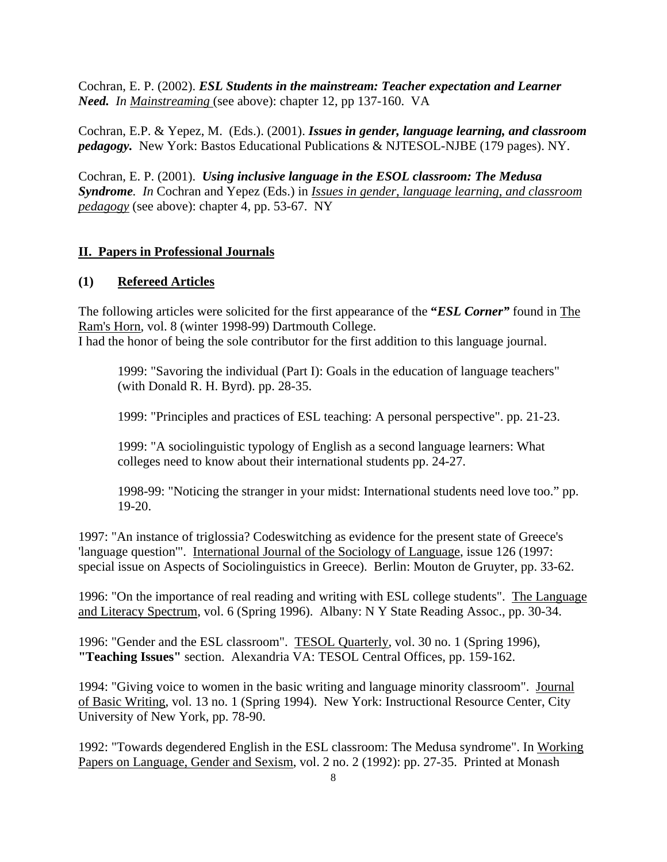Cochran, E. P. (2002). *ESL Students in the mainstream: Teacher expectation and Learner Need. In Mainstreaming* (see above): chapter 12, pp 137-160. VA

Cochran, E.P. & Yepez, M. (Eds.). (2001). *Issues in gender, language learning, and classroom pedagogy.* New York: Bastos Educational Publications & NJTESOL-NJBE (179 pages). NY.

Cochran, E. P. (2001). *Using inclusive language in the ESOL classroom: The Medusa Syndrome. In* Cochran and Yepez (Eds.) in *Issues in gender, language learning, and classroom pedagogy* (see above): chapter 4, pp. 53-67. NY

#### **II. Papers in Professional Journals**

#### **(1) Refereed Articles**

The following articles were solicited for the first appearance of the **"***ESL Corner"* found in The Ram's Horn, vol. 8 (winter 1998-99) Dartmouth College.

I had the honor of being the sole contributor for the first addition to this language journal.

1999: "Savoring the individual (Part I): Goals in the education of language teachers" (with Donald R. H. Byrd). pp. 28-35.

1999: "Principles and practices of ESL teaching: A personal perspective". pp. 21-23.

1999: "A sociolinguistic typology of English as a second language learners: What colleges need to know about their international students pp. 24-27.

1998-99: "Noticing the stranger in your midst: International students need love too." pp. 19-20.

1997: "An instance of triglossia? Codeswitching as evidence for the present state of Greece's 'language question'". International Journal of the Sociology of Language, issue 126 (1997: special issue on Aspects of Sociolinguistics in Greece). Berlin: Mouton de Gruyter, pp. 33-62.

1996: "On the importance of real reading and writing with ESL college students". The Language and Literacy Spectrum, vol. 6 (Spring 1996). Albany: N Y State Reading Assoc., pp. 30-34.

1996: "Gender and the ESL classroom". TESOL Quarterly, vol. 30 no. 1 (Spring 1996), **"Teaching Issues"** section. Alexandria VA: TESOL Central Offices, pp. 159-162.

1994: "Giving voice to women in the basic writing and language minority classroom". Journal of Basic Writing, vol. 13 no. 1 (Spring 1994). New York: Instructional Resource Center, City University of New York, pp. 78-90.

1992: "Towards degendered English in the ESL classroom: The Medusa syndrome". In Working Papers on Language, Gender and Sexism, vol. 2 no. 2 (1992): pp. 27-35. Printed at Monash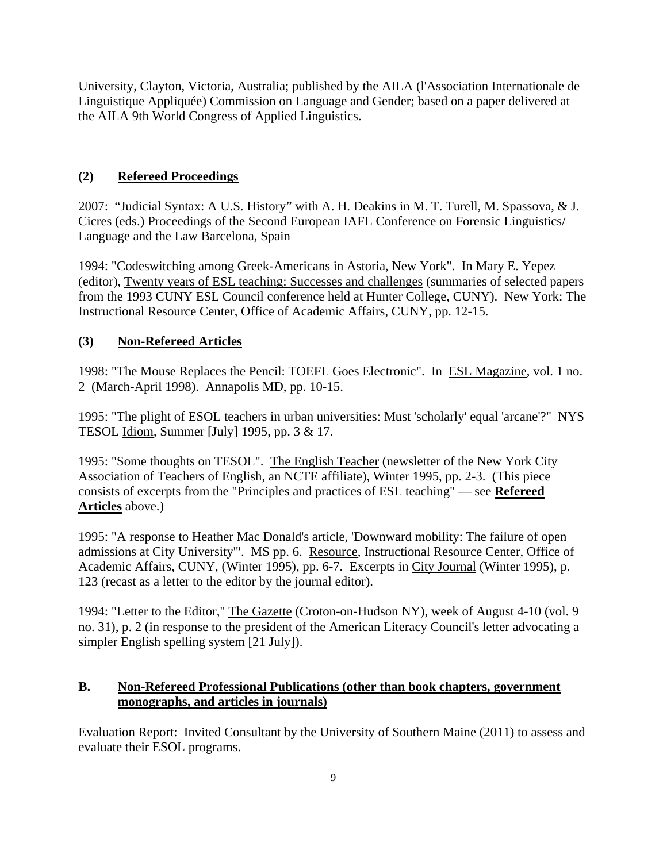University, Clayton, Victoria, Australia; published by the AILA (l'Association Internationale de Linguistique Appliquée) Commission on Language and Gender; based on a paper delivered at the AILA 9th World Congress of Applied Linguistics.

#### **(2) Refereed Proceedings**

2007: "Judicial Syntax: A U.S. History" with A. H. Deakins in M. T. Turell, M. Spassova, & J. Cicres (eds.) Proceedings of the Second European IAFL Conference on Forensic Linguistics/ Language and the Law Barcelona, Spain

1994: "Codeswitching among Greek-Americans in Astoria, New York". In Mary E. Yepez (editor), Twenty years of ESL teaching: Successes and challenges (summaries of selected papers from the 1993 CUNY ESL Council conference held at Hunter College, CUNY). New York: The Instructional Resource Center, Office of Academic Affairs, CUNY, pp. 12-15.

#### **(3) Non-Refereed Articles**

1998: "The Mouse Replaces the Pencil: TOEFL Goes Electronic". In ESL Magazine, vol. 1 no. 2 (March-April 1998). Annapolis MD, pp. 10-15.

1995: "The plight of ESOL teachers in urban universities: Must 'scholarly' equal 'arcane'?" NYS TESOL Idiom, Summer [July] 1995, pp. 3 & 17.

1995: "Some thoughts on TESOL". The English Teacher (newsletter of the New York City Association of Teachers of English, an NCTE affiliate), Winter 1995, pp. 2-3. (This piece consists of excerpts from the "Principles and practices of ESL teaching" — see **Refereed Articles** above.)

1995: "A response to Heather Mac Donald's article, 'Downward mobility: The failure of open admissions at City University'". MS pp. 6. Resource, Instructional Resource Center, Office of Academic Affairs, CUNY, (Winter 1995), pp. 6-7. Excerpts in City Journal (Winter 1995), p. 123 (recast as a letter to the editor by the journal editor).

1994: "Letter to the Editor," The Gazette (Croton-on-Hudson NY), week of August 4-10 (vol. 9 no. 31), p. 2 (in response to the president of the American Literacy Council's letter advocating a simpler English spelling system [21 July]).

#### **B. Non-Refereed Professional Publications (other than book chapters, government monographs, and articles in journals)**

Evaluation Report: Invited Consultant by the University of Southern Maine (2011) to assess and evaluate their ESOL programs.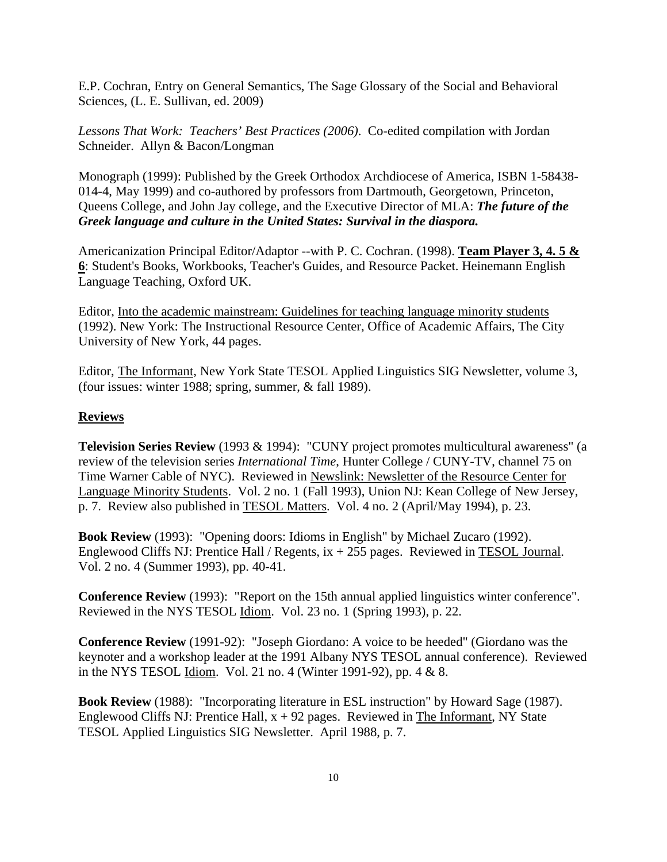E.P. Cochran, Entry on General Semantics, The Sage Glossary of the Social and Behavioral Sciences, (L. E. Sullivan, ed. 2009)

*Lessons That Work: Teachers' Best Practices (2006)*. Co-edited compilation with Jordan Schneider. Allyn & Bacon/Longman

Monograph (1999): Published by the Greek Orthodox Archdiocese of America, ISBN 1-58438- 014-4, May 1999) and co-authored by professors from Dartmouth, Georgetown, Princeton, Queens College, and John Jay college, and the Executive Director of MLA: *The future of the Greek language and culture in the United States: Survival in the diaspora.*

Americanization Principal Editor/Adaptor --with P. C. Cochran. (1998). **Team Player 3, 4. 5 & 6**: Student's Books, Workbooks, Teacher's Guides, and Resource Packet. Heinemann English Language Teaching, Oxford UK.

Editor, Into the academic mainstream: Guidelines for teaching language minority students (1992). New York: The Instructional Resource Center, Office of Academic Affairs, The City University of New York, 44 pages.

Editor, The Informant, New York State TESOL Applied Linguistics SIG Newsletter, volume 3, (four issues: winter 1988; spring, summer, & fall 1989).

#### **Reviews**

**Television Series Review** (1993 & 1994): "CUNY project promotes multicultural awareness" (a review of the television series *International Time*, Hunter College / CUNY-TV, channel 75 on Time Warner Cable of NYC). Reviewed in Newslink: Newsletter of the Resource Center for Language Minority Students. Vol. 2 no. 1 (Fall 1993), Union NJ: Kean College of New Jersey, p. 7. Review also published in TESOL Matters. Vol. 4 no. 2 (April/May 1994), p. 23.

**Book Review** (1993): "Opening doors: Idioms in English" by Michael Zucaro (1992). Englewood Cliffs NJ: Prentice Hall / Regents,  $ix + 255$  pages. Reviewed in TESOL Journal. Vol. 2 no. 4 (Summer 1993), pp. 40-41.

**Conference Review** (1993): "Report on the 15th annual applied linguistics winter conference". Reviewed in the NYS TESOL Idiom. Vol. 23 no. 1 (Spring 1993), p. 22.

**Conference Review** (1991-92): "Joseph Giordano: A voice to be heeded" (Giordano was the keynoter and a workshop leader at the 1991 Albany NYS TESOL annual conference). Reviewed in the NYS TESOL Idiom. Vol. 21 no. 4 (Winter 1991-92), pp. 4 & 8.

**Book Review** (1988): "Incorporating literature in ESL instruction" by Howard Sage (1987). Englewood Cliffs NJ: Prentice Hall,  $x + 92$  pages. Reviewed in The Informant, NY State TESOL Applied Linguistics SIG Newsletter. April 1988, p. 7.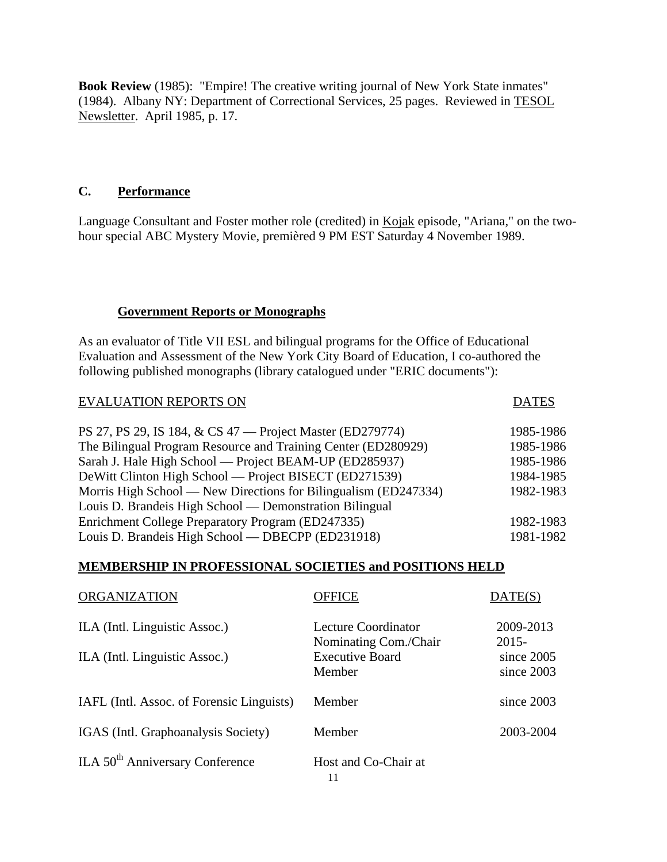**Book Review** (1985): "Empire! The creative writing journal of New York State inmates" (1984). Albany NY: Department of Correctional Services, 25 pages. Reviewed in TESOL Newsletter. April 1985, p. 17.

#### **C. Performance**

Language Consultant and Foster mother role (credited) in Kojak episode, "Ariana," on the twohour special ABC Mystery Movie, premièred 9 PM EST Saturday 4 November 1989.

#### **Government Reports or Monographs**

As an evaluator of Title VII ESL and bilingual programs for the Office of Educational Evaluation and Assessment of the New York City Board of Education, I co-authored the following published monographs (library catalogued under "ERIC documents"):

| <b>EVALUATION REPORTS ON</b>                                    | <b>DATES</b> |
|-----------------------------------------------------------------|--------------|
|                                                                 |              |
| PS 27, PS 29, IS 184, & CS 47 — Project Master (ED279774)       | 1985-1986    |
| The Bilingual Program Resource and Training Center (ED280929)   | 1985-1986    |
| Sarah J. Hale High School — Project BEAM-UP (ED285937)          | 1985-1986    |
| DeWitt Clinton High School — Project BISECT (ED271539)          | 1984-1985    |
| Morris High School — New Directions for Bilingualism (ED247334) | 1982-1983    |
| Louis D. Brandeis High School — Demonstration Bilingual         |              |
| Enrichment College Preparatory Program (ED247335)               | 1982-1983    |
| Louis D. Brandeis High School — DBECPP (ED231918)               | 1981-1982    |

#### **MEMBERSHIP IN PROFESSIONAL SOCIETIES and POSITIONS HELD**

| <b>ORGANIZATION</b>                         | <b>OFFICE</b>                                | DATE(S)                  |
|---------------------------------------------|----------------------------------------------|--------------------------|
| ILA (Intl. Linguistic Assoc.)               | Lecture Coordinator<br>Nominating Com./Chair | 2009-2013<br>$2015 -$    |
| ILA (Intl. Linguistic Assoc.)               | <b>Executive Board</b><br>Member             | since 2005<br>since 2003 |
| IAFL (Intl. Assoc. of Forensic Linguists)   | Member                                       | since $2003$             |
| IGAS (Intl. Graphoanalysis Society)         | Member                                       | 2003-2004                |
| ILA 50 <sup>th</sup> Anniversary Conference | Host and Co-Chair at<br>11                   |                          |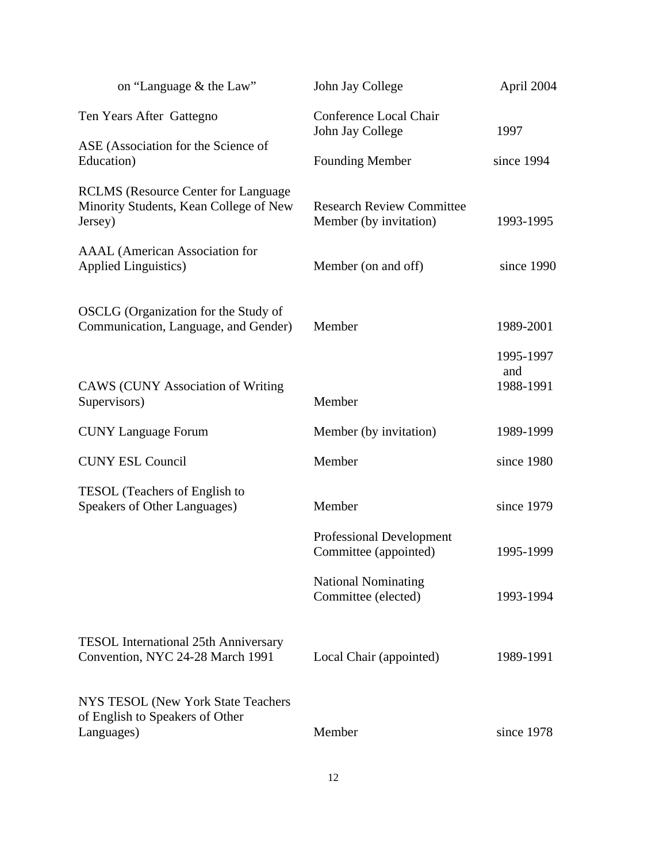| on "Language & the Law"                                                                          | John Jay College                                           | April 2004                    |
|--------------------------------------------------------------------------------------------------|------------------------------------------------------------|-------------------------------|
| Ten Years After Gattegno                                                                         | Conference Local Chair<br>John Jay College                 | 1997                          |
| ASE (Association for the Science of<br>Education)                                                | <b>Founding Member</b>                                     | since 1994                    |
| <b>RCLMS</b> (Resource Center for Language)<br>Minority Students, Kean College of New<br>Jersey) | <b>Research Review Committee</b><br>Member (by invitation) | 1993-1995                     |
| <b>AAAL</b> (American Association for<br><b>Applied Linguistics)</b>                             | Member (on and off)                                        | since 1990                    |
| OSCLG (Organization for the Study of<br>Communication, Language, and Gender)                     | Member                                                     | 1989-2001                     |
| <b>CAWS</b> (CUNY Association of Writing<br>Supervisors)                                         | Member                                                     | 1995-1997<br>and<br>1988-1991 |
| <b>CUNY Language Forum</b>                                                                       | Member (by invitation)                                     | 1989-1999                     |
| <b>CUNY ESL Council</b>                                                                          | Member                                                     | since 1980                    |
| TESOL (Teachers of English to<br>Speakers of Other Languages)                                    | Member                                                     | since 1979                    |
|                                                                                                  | <b>Professional Development</b><br>Committee (appointed)   | 1995-1999                     |
|                                                                                                  | <b>National Nominating</b><br>Committee (elected)          | 1993-1994                     |
| <b>TESOL</b> International 25th Anniversary<br>Convention, NYC 24-28 March 1991                  | Local Chair (appointed)                                    | 1989-1991                     |
| NYS TESOL (New York State Teachers<br>of English to Speakers of Other<br>Languages)              | Member                                                     | since 1978                    |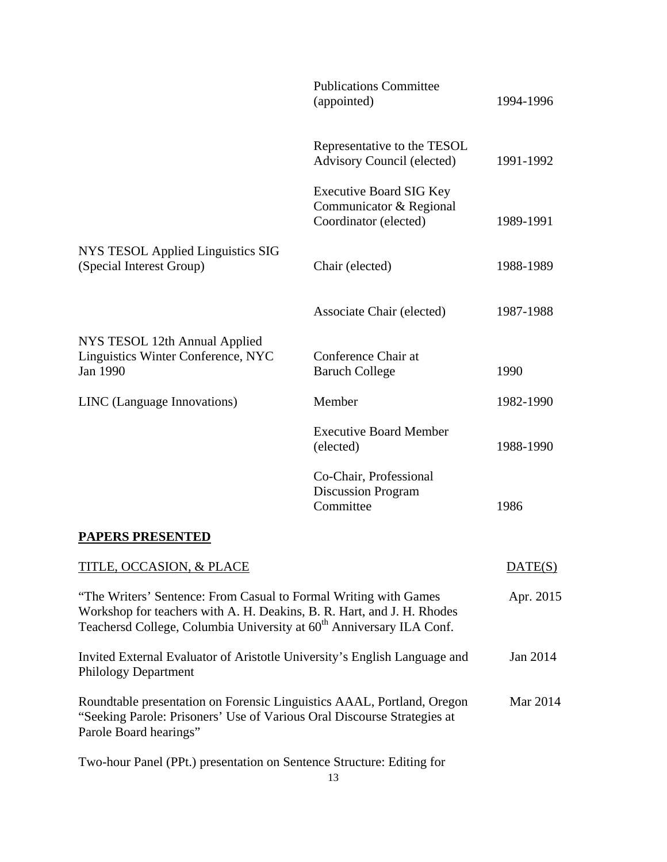|                                                                                                                                                                                                                                | <b>Publications Committee</b><br>(appointed)                                       | 1994-1996 |
|--------------------------------------------------------------------------------------------------------------------------------------------------------------------------------------------------------------------------------|------------------------------------------------------------------------------------|-----------|
|                                                                                                                                                                                                                                | Representative to the TESOL<br><b>Advisory Council (elected)</b>                   | 1991-1992 |
|                                                                                                                                                                                                                                | <b>Executive Board SIG Key</b><br>Communicator & Regional<br>Coordinator (elected) | 1989-1991 |
| NYS TESOL Applied Linguistics SIG<br>(Special Interest Group)                                                                                                                                                                  | Chair (elected)                                                                    | 1988-1989 |
|                                                                                                                                                                                                                                | <b>Associate Chair (elected)</b>                                                   | 1987-1988 |
| NYS TESOL 12th Annual Applied<br>Linguistics Winter Conference, NYC<br>Jan 1990                                                                                                                                                | Conference Chair at<br><b>Baruch College</b>                                       | 1990      |
| LINC (Language Innovations)                                                                                                                                                                                                    | Member                                                                             | 1982-1990 |
|                                                                                                                                                                                                                                | <b>Executive Board Member</b><br>(elected)                                         | 1988-1990 |
|                                                                                                                                                                                                                                | Co-Chair, Professional<br><b>Discussion Program</b><br>Committee                   | 1986      |
| <b>PAPERS PRESENTED</b>                                                                                                                                                                                                        |                                                                                    |           |
| TITLE, OCCASION, & PLACE                                                                                                                                                                                                       |                                                                                    | DATE(S)   |
| "The Writers' Sentence: From Casual to Formal Writing with Games<br>Workshop for teachers with A. H. Deakins, B. R. Hart, and J. H. Rhodes<br>Teachersd College, Columbia University at 60 <sup>th</sup> Anniversary ILA Conf. |                                                                                    | Apr. 2015 |
| Invited External Evaluator of Aristotle University's English Language and<br><b>Philology Department</b>                                                                                                                       | Jan 2014                                                                           |           |
| Roundtable presentation on Forensic Linguistics AAAL, Portland, Oregon<br>"Seeking Parole: Prisoners' Use of Various Oral Discourse Strategies at<br>Parole Board hearings"                                                    |                                                                                    | Mar 2014  |
| Two-hour Panel (PPt.) presentation on Sentence Structure: Editing for                                                                                                                                                          |                                                                                    |           |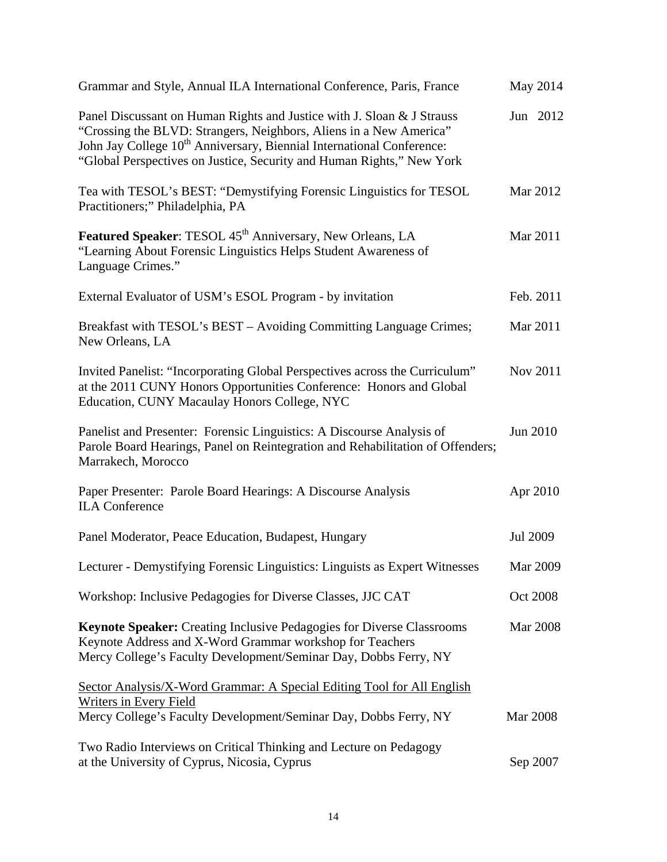| Grammar and Style, Annual ILA International Conference, Paris, France                                                                                                                                                                                                                                      |                 | May 2014        |
|------------------------------------------------------------------------------------------------------------------------------------------------------------------------------------------------------------------------------------------------------------------------------------------------------------|-----------------|-----------------|
| Panel Discussant on Human Rights and Justice with J. Sloan & J Strauss<br>"Crossing the BLVD: Strangers, Neighbors, Aliens in a New America"<br>John Jay College 10 <sup>th</sup> Anniversary, Biennial International Conference:<br>"Global Perspectives on Justice, Security and Human Rights," New York |                 | Jun 2012        |
| Tea with TESOL's BEST: "Demystifying Forensic Linguistics for TESOL<br>Practitioners;" Philadelphia, PA                                                                                                                                                                                                    |                 | Mar 2012        |
| Featured Speaker: TESOL 45 <sup>th</sup> Anniversary, New Orleans, LA<br>"Learning About Forensic Linguistics Helps Student Awareness of<br>Language Crimes."                                                                                                                                              | Mar 2011        |                 |
| External Evaluator of USM's ESOL Program - by invitation                                                                                                                                                                                                                                                   |                 | Feb. 2011       |
| Breakfast with TESOL's BEST – Avoiding Committing Language Crimes;<br>New Orleans, LA                                                                                                                                                                                                                      | Mar 2011        |                 |
| Invited Panelist: "Incorporating Global Perspectives across the Curriculum"<br>at the 2011 CUNY Honors Opportunities Conference: Honors and Global<br>Education, CUNY Macaulay Honors College, NYC                                                                                                         |                 | Nov 2011        |
| Panelist and Presenter: Forensic Linguistics: A Discourse Analysis of<br>Parole Board Hearings, Panel on Reintegration and Rehabilitation of Offenders;<br>Marrakech, Morocco                                                                                                                              | Jun 2010        |                 |
| Paper Presenter: Parole Board Hearings: A Discourse Analysis<br><b>ILA</b> Conference                                                                                                                                                                                                                      | Apr 2010        |                 |
| Panel Moderator, Peace Education, Budapest, Hungary                                                                                                                                                                                                                                                        | Jul 2009        |                 |
| Lecturer - Demystifying Forensic Linguistics: Linguists as Expert Witnesses                                                                                                                                                                                                                                |                 | Mar 2009        |
| Workshop: Inclusive Pedagogies for Diverse Classes, JJC CAT                                                                                                                                                                                                                                                | <b>Oct 2008</b> |                 |
| <b>Keynote Speaker:</b> Creating Inclusive Pedagogies for Diverse Classrooms<br>Keynote Address and X-Word Grammar workshop for Teachers<br>Mercy College's Faculty Development/Seminar Day, Dobbs Ferry, NY                                                                                               |                 | <b>Mar 2008</b> |
| Sector Analysis/X-Word Grammar: A Special Editing Tool for All English<br><b>Writers in Every Field</b><br>Mercy College's Faculty Development/Seminar Day, Dobbs Ferry, NY                                                                                                                                | <b>Mar 2008</b> |                 |
| Two Radio Interviews on Critical Thinking and Lecture on Pedagogy<br>at the University of Cyprus, Nicosia, Cyprus                                                                                                                                                                                          | Sep 2007        |                 |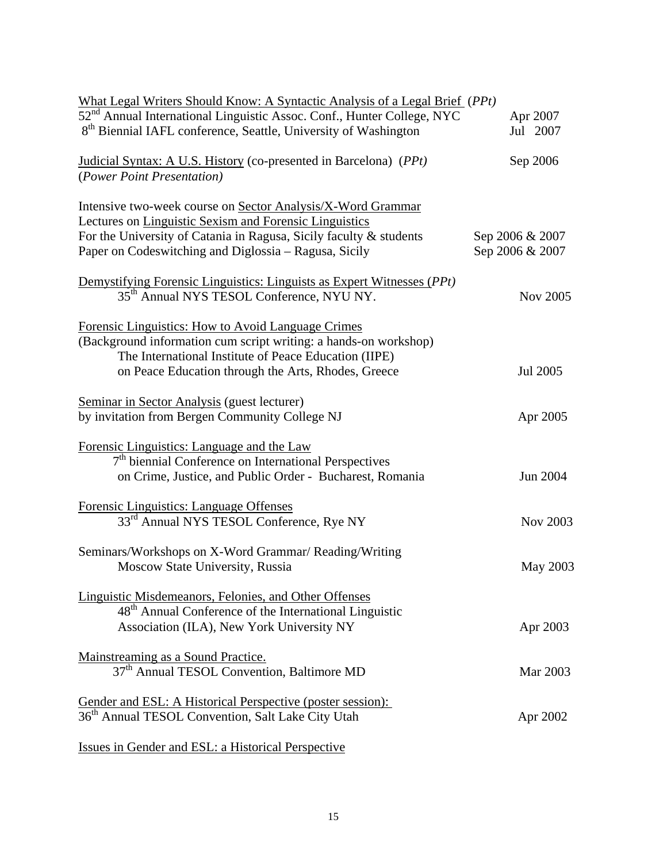| What Legal Writers Should Know: A Syntactic Analysis of a Legal Brief (PPt)                                                                                                                                                                          |                                    |
|------------------------------------------------------------------------------------------------------------------------------------------------------------------------------------------------------------------------------------------------------|------------------------------------|
| 52 <sup>nd</sup> Annual International Linguistic Assoc. Conf., Hunter College, NYC                                                                                                                                                                   | Apr 2007                           |
| 8 <sup>th</sup> Biennial IAFL conference, Seattle, University of Washington                                                                                                                                                                          | Jul 2007                           |
| Judicial Syntax: A U.S. History (co-presented in Barcelona) (PPt)<br>(Power Point Presentation)                                                                                                                                                      | Sep 2006                           |
| Intensive two-week course on Sector Analysis/X-Word Grammar<br>Lectures on Linguistic Sexism and Forensic Linguistics<br>For the University of Catania in Ragusa, Sicily faculty & students<br>Paper on Codeswitching and Diglossia – Ragusa, Sicily | Sep 2006 & 2007<br>Sep 2006 & 2007 |
| Demystifying Forensic Linguistics: Linguists as Expert Witnesses (PPt)<br>35 <sup>th</sup> Annual NYS TESOL Conference, NYU NY.                                                                                                                      | <b>Nov 2005</b>                    |
| Forensic Linguistics: How to Avoid Language Crimes<br>(Background information cum script writing: a hands-on workshop)<br>The International Institute of Peace Education (IIPE)<br>on Peace Education through the Arts, Rhodes, Greece               | Jul 2005                           |
| Seminar in Sector Analysis (guest lecturer)<br>by invitation from Bergen Community College NJ                                                                                                                                                        | Apr 2005                           |
| Forensic Linguistics: Language and the Law<br>$7th$ biennial Conference on International Perspectives<br>on Crime, Justice, and Public Order - Bucharest, Romania                                                                                    | Jun 2004                           |
| Forensic Linguistics: Language Offenses<br>33 <sup>rd</sup> Annual NYS TESOL Conference, Rye NY                                                                                                                                                      | Nov 2003                           |
| Seminars/Workshops on X-Word Grammar/ Reading/Writing<br>Moscow State University, Russia                                                                                                                                                             | May 2003                           |
| Linguistic Misdemeanors, Felonies, and Other Offenses<br>48 <sup>th</sup> Annual Conference of the International Linguistic<br>Association (ILA), New York University NY                                                                             | Apr 2003                           |
| Mainstreaming as a Sound Practice.<br>37 <sup>th</sup> Annual TESOL Convention, Baltimore MD                                                                                                                                                         | Mar 2003                           |
| Gender and ESL: A Historical Perspective (poster session):<br>36 <sup>th</sup> Annual TESOL Convention, Salt Lake City Utah                                                                                                                          | Apr 2002                           |
| Issues in Gender and ESL: a Historical Perspective                                                                                                                                                                                                   |                                    |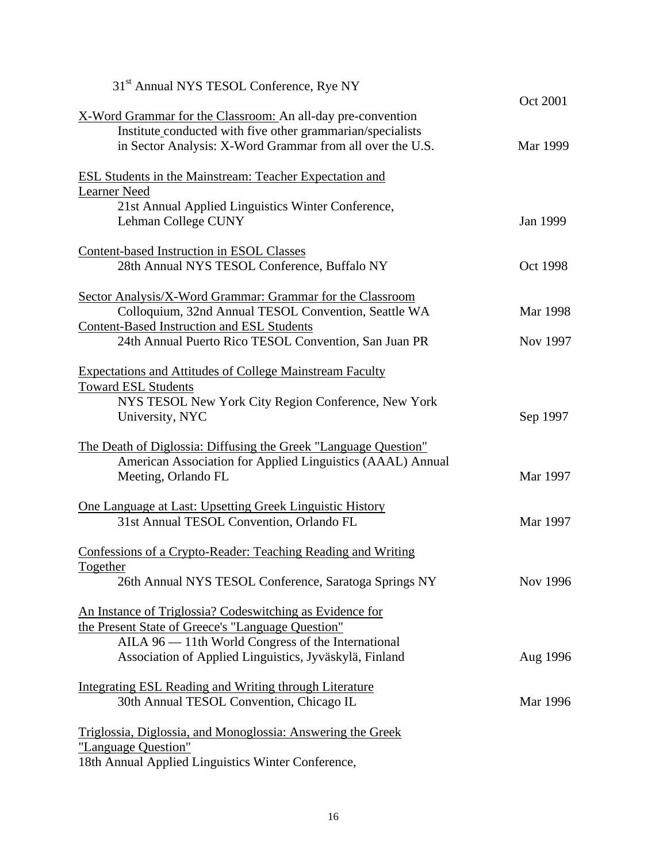| 31 <sup>st</sup> Annual NYS TESOL Conference, Rye NY               |          |
|--------------------------------------------------------------------|----------|
|                                                                    | Oct 2001 |
| X-Word Grammar for the Classroom: An all-day pre-convention        |          |
| Institute conducted with five other grammarian/specialists         |          |
| in Sector Analysis: X-Word Grammar from all over the U.S.          | Mar 1999 |
| <b>ESL Students in the Mainstream: Teacher Expectation and</b>     |          |
| <b>Learner Need</b>                                                |          |
| 21st Annual Applied Linguistics Winter Conference,                 |          |
| Lehman College CUNY                                                | Jan 1999 |
| <b>Content-based Instruction in ESOL Classes</b>                   |          |
| 28th Annual NYS TESOL Conference, Buffalo NY                       | Oct 1998 |
| Sector Analysis/X-Word Grammar: Grammar for the Classroom          |          |
| Colloquium, 32nd Annual TESOL Convention, Seattle WA               | Mar 1998 |
| Content-Based Instruction and ESL Students                         |          |
| 24th Annual Puerto Rico TESOL Convention, San Juan PR              | Nov 1997 |
| <b>Expectations and Attitudes of College Mainstream Faculty</b>    |          |
| <b>Toward ESL Students</b>                                         |          |
| NYS TESOL New York City Region Conference, New York                |          |
| University, NYC                                                    | Sep 1997 |
| The Death of Diglossia: Diffusing the Greek "Language Question"    |          |
| American Association for Applied Linguistics (AAAL) Annual         |          |
| Meeting, Orlando FL                                                | Mar 1997 |
|                                                                    |          |
| <u>One Language at Last: Upsetting Greek Linguistic History</u>    |          |
| 31st Annual TESOL Convention, Orlando FL                           | Mar 1997 |
| Confessions of a Crypto-Reader: Teaching Reading and Writing       |          |
| Together                                                           |          |
| 26th Annual NYS TESOL Conference, Saratoga Springs NY              | Nov 1996 |
| An Instance of Triglossia? Codeswitching as Evidence for           |          |
| the Present State of Greece's "Language Question"                  |          |
| AILA 96 — 11th World Congress of the International                 |          |
| Association of Applied Linguistics, Jyväskylä, Finland             | Aug 1996 |
| <b>Integrating ESL Reading and Writing through Literature</b>      |          |
| 30th Annual TESOL Convention, Chicago IL                           | Mar 1996 |
| <u>Triglossia, Diglossia, and Monoglossia: Answering the Greek</u> |          |
| "Language Question"                                                |          |
| 18th Annual Applied Linguistics Winter Conference,                 |          |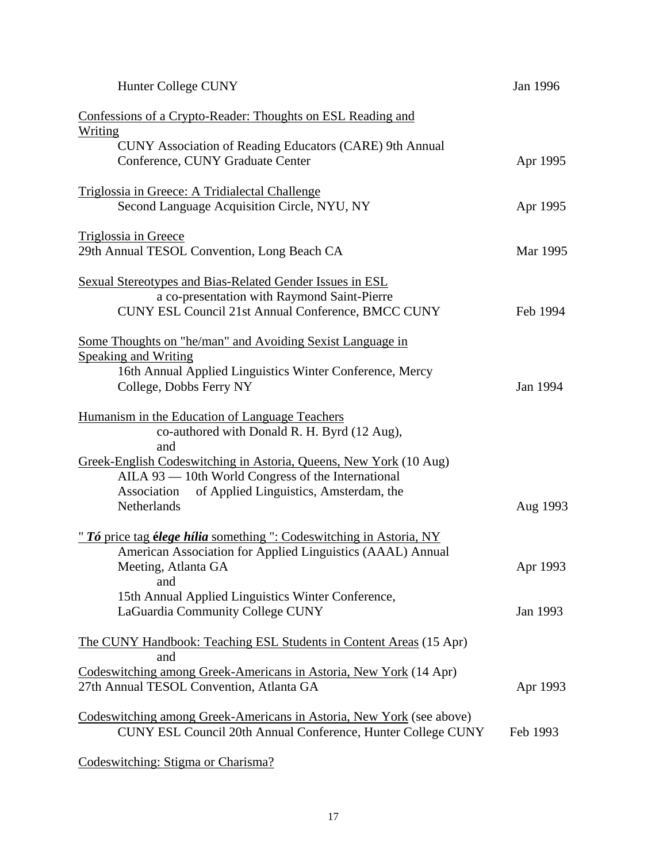| Hunter College CUNY                                                                                                                                                                                                                                                                                      | Jan 1996 |
|----------------------------------------------------------------------------------------------------------------------------------------------------------------------------------------------------------------------------------------------------------------------------------------------------------|----------|
| Confessions of a Crypto-Reader: Thoughts on ESL Reading and<br><u>Writing</u>                                                                                                                                                                                                                            |          |
| CUNY Association of Reading Educators (CARE) 9th Annual<br>Conference, CUNY Graduate Center                                                                                                                                                                                                              | Apr 1995 |
| <u> Triglossia in Greece: A Tridialectal Challenge</u><br>Second Language Acquisition Circle, NYU, NY                                                                                                                                                                                                    | Apr 1995 |
| Triglossia in Greece<br>29th Annual TESOL Convention, Long Beach CA                                                                                                                                                                                                                                      | Mar 1995 |
| <b>Sexual Stereotypes and Bias-Related Gender Issues in ESL</b><br>a co-presentation with Raymond Saint-Pierre<br>CUNY ESL Council 21st Annual Conference, BMCC CUNY                                                                                                                                     | Feb 1994 |
| Some Thoughts on "he/man" and Avoiding Sexist Language in<br><b>Speaking and Writing</b><br>16th Annual Applied Linguistics Winter Conference, Mercy<br>College, Dobbs Ferry NY                                                                                                                          | Jan 1994 |
| Humanism in the Education of Language Teachers<br>co-authored with Donald R. H. Byrd (12 Aug),<br>and<br>Greek-English Codeswitching in Astoria, Queens, New York (10 Aug)<br>AILA 93 — 10th World Congress of the International<br>of Applied Linguistics, Amsterdam, the<br>Association<br>Netherlands | Aug 1993 |
| " Tó price tag élege hília something ": Codeswitching in Astoria, NY<br>American Association for Applied Linguistics (AAAL) Annual<br>Meeting, Atlanta GA<br>and                                                                                                                                         | Apr 1993 |
| 15th Annual Applied Linguistics Winter Conference,<br>LaGuardia Community College CUNY                                                                                                                                                                                                                   | Jan 1993 |
| <u>The CUNY Handbook: Teaching ESL Students in Content Areas</u> (15 Apr)<br>and<br>Codeswitching among Greek-Americans in Astoria, New York (14 Apr)<br>27th Annual TESOL Convention, Atlanta GA                                                                                                        | Apr 1993 |
| Codeswitching among Greek-Americans in Astoria, New York (see above)<br>CUNY ESL Council 20th Annual Conference, Hunter College CUNY                                                                                                                                                                     | Feb 1993 |
| Codeswitching: Stigma or Charisma?                                                                                                                                                                                                                                                                       |          |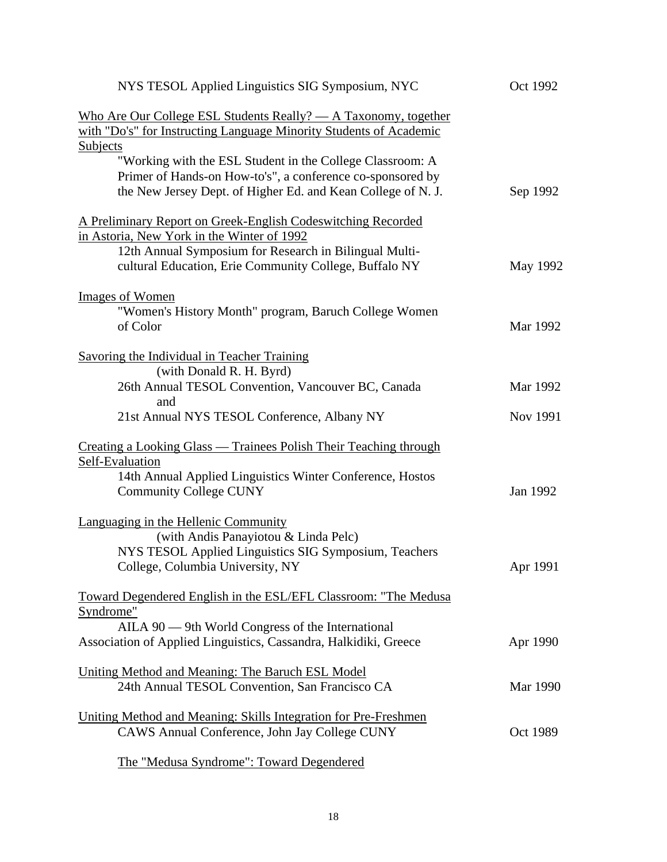| NYS TESOL Applied Linguistics SIG Symposium, NYC                                                                                                                                                                               | Oct 1992             |
|--------------------------------------------------------------------------------------------------------------------------------------------------------------------------------------------------------------------------------|----------------------|
| Who Are Our College ESL Students Really? — A Taxonomy, together<br>with "Do's" for Instructing Language Minority Students of Academic                                                                                          |                      |
| Subjects<br>"Working with the ESL Student in the College Classroom: A<br>Primer of Hands-on How-to's", a conference co-sponsored by<br>the New Jersey Dept. of Higher Ed. and Kean College of N. J.                            | Sep 1992             |
| A Preliminary Report on Greek-English Codeswitching Recorded<br>in Astoria, New York in the Winter of 1992<br>12th Annual Symposium for Research in Bilingual Multi-<br>cultural Education, Erie Community College, Buffalo NY | May 1992             |
| <b>Images of Women</b><br>"Women's History Month" program, Baruch College Women<br>of Color                                                                                                                                    | Mar 1992             |
| Savoring the Individual in Teacher Training<br>(with Donald R. H. Byrd)<br>26th Annual TESOL Convention, Vancouver BC, Canada<br>and<br>21st Annual NYS TESOL Conference, Albany NY                                            | Mar 1992<br>Nov 1991 |
| <u>Creating a Looking Glass — Trainees Polish Their Teaching through</u><br>Self-Evaluation<br>14th Annual Applied Linguistics Winter Conference, Hostos<br><b>Community College CUNY</b>                                      | Jan 1992             |
| Languaging in the Hellenic Community<br>(with Andis Panayiotou & Linda Pelc)<br>NYS TESOL Applied Linguistics SIG Symposium, Teachers<br>College, Columbia University, NY                                                      | Apr 1991             |
| Toward Degendered English in the ESL/EFL Classroom: "The Medusa<br>Syndrome"<br>AILA 90 — 9th World Congress of the International<br>Association of Applied Linguistics, Cassandra, Halkidiki, Greece                          | Apr 1990             |
| Uniting Method and Meaning: The Baruch ESL Model<br>24th Annual TESOL Convention, San Francisco CA                                                                                                                             | Mar 1990             |
| Uniting Method and Meaning: Skills Integration for Pre-Freshmen<br>CAWS Annual Conference, John Jay College CUNY                                                                                                               | Oct 1989             |
| The "Medusa Syndrome": Toward Degendered                                                                                                                                                                                       |                      |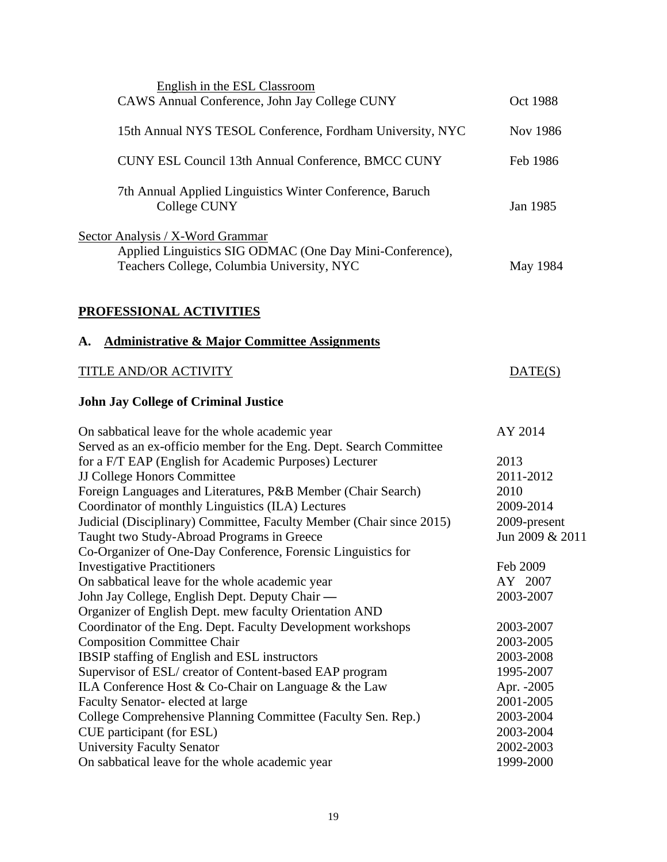| English in the ESL Classroom                                                                                                                      | <b>Oct 1988</b>             |
|---------------------------------------------------------------------------------------------------------------------------------------------------|-----------------------------|
| CAWS Annual Conference, John Jay College CUNY                                                                                                     |                             |
| 15th Annual NYS TESOL Conference, Fordham University, NYC                                                                                         | Nov 1986                    |
| CUNY ESL Council 13th Annual Conference, BMCC CUNY                                                                                                | Feb 1986                    |
| 7th Annual Applied Linguistics Winter Conference, Baruch<br>College CUNY                                                                          | Jan 1985                    |
| <b>Sector Analysis / X-Word Grammar</b><br>Applied Linguistics SIG ODMAC (One Day Mini-Conference),<br>Teachers College, Columbia University, NYC | May 1984                    |
| <b>PROFESSIONAL ACTIVITIES</b>                                                                                                                    |                             |
| <b>Administrative &amp; Major Committee Assignments</b><br>А.                                                                                     |                             |
| TITLE AND/OR ACTIVITY                                                                                                                             | $\overline{\text{DATE(S)}}$ |
| <b>John Jay College of Criminal Justice</b>                                                                                                       |                             |
| On sabbatical leave for the whole academic year                                                                                                   | AY 2014                     |
| Served as an ex-officio member for the Eng. Dept. Search Committee                                                                                |                             |
| for a F/T EAP (English for Academic Purposes) Lecturer                                                                                            | 2013<br>2011-2012           |
| <b>JJ College Honors Committee</b><br>Foreign Languages and Literatures, P&B Member (Chair Search)                                                | 2010                        |
| Coordinator of monthly Linguistics (ILA) Lectures                                                                                                 | 2009-2014                   |
| Judicial (Disciplinary) Committee, Faculty Member (Chair since 2015)                                                                              | 2009-present                |
| Taught two Study-Abroad Programs in Greece                                                                                                        | Jun 2009 & 2011             |
| Co-Organizer of One-Day Conference, Forensic Linguistics for                                                                                      |                             |
| <b>Investigative Practitioners</b>                                                                                                                | Feb 2009                    |
| On sabbatical leave for the whole academic year                                                                                                   | AY 2007                     |
| John Jay College, English Dept. Deputy Chair —                                                                                                    | 2003-2007                   |
| Organizer of English Dept. mew faculty Orientation AND                                                                                            |                             |
| Coordinator of the Eng. Dept. Faculty Development workshops                                                                                       | 2003-2007                   |
| <b>Composition Committee Chair</b>                                                                                                                | 2003-2005                   |
| IBSIP staffing of English and ESL instructors                                                                                                     | 2003-2008                   |
| Supervisor of ESL/ creator of Content-based EAP program                                                                                           | 1995-2007                   |
| ILA Conference Host $& Co-Chair$ on Language $& the Law$                                                                                          | Apr. -2005                  |
| Faculty Senator-elected at large                                                                                                                  | 2001-2005                   |
| College Comprehensive Planning Committee (Faculty Sen. Rep.)                                                                                      | 2003-2004                   |
| CUE participant (for ESL)                                                                                                                         | 2003-2004                   |
| <b>University Faculty Senator</b>                                                                                                                 | 2002-2003                   |
| On sabbatical leave for the whole academic year                                                                                                   | 1999-2000                   |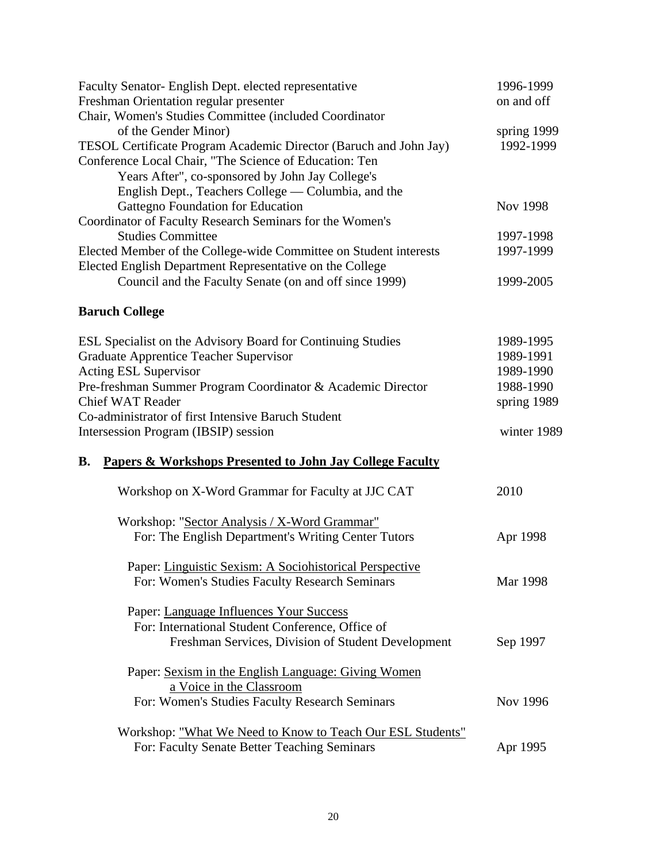| 1996-1999       |
|-----------------|
| on and off      |
|                 |
| spring 1999     |
| 1992-1999       |
|                 |
|                 |
|                 |
| Nov 1998        |
|                 |
| 1997-1998       |
| 1997-1999       |
|                 |
| 1999-2005       |
|                 |
|                 |
| 1989-1995       |
| 1989-1991       |
| 1989-1990       |
| 1988-1990       |
| spring 1989     |
|                 |
| winter 1989     |
|                 |
|                 |
| 2010            |
|                 |
| Apr 1998        |
|                 |
|                 |
| Mar 1998        |
|                 |
|                 |
|                 |
| Sep 1997        |
|                 |
|                 |
| <b>Nov 1996</b> |
|                 |
|                 |
| Apr 1995        |
|                 |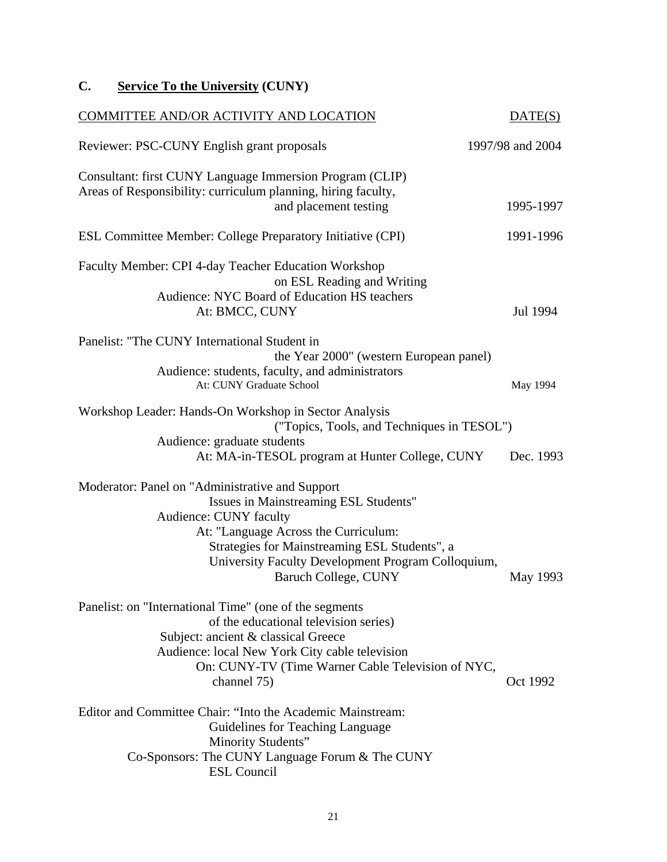## **C. Service To the University (CUNY)**

| COMMITTEE AND/OR ACTIVITY AND LOCATION                                                                                                                                                                                                                                                    | DATE(S)          |
|-------------------------------------------------------------------------------------------------------------------------------------------------------------------------------------------------------------------------------------------------------------------------------------------|------------------|
| Reviewer: PSC-CUNY English grant proposals                                                                                                                                                                                                                                                | 1997/98 and 2004 |
| Consultant: first CUNY Language Immersion Program (CLIP)<br>Areas of Responsibility: curriculum planning, hiring faculty,<br>and placement testing                                                                                                                                        | 1995-1997        |
| ESL Committee Member: College Preparatory Initiative (CPI)                                                                                                                                                                                                                                | 1991-1996        |
| Faculty Member: CPI 4-day Teacher Education Workshop<br>on ESL Reading and Writing<br>Audience: NYC Board of Education HS teachers<br>At: BMCC, CUNY                                                                                                                                      | Jul 1994         |
| Panelist: "The CUNY International Student in<br>the Year 2000" (western European panel)<br>Audience: students, faculty, and administrators<br>At: CUNY Graduate School                                                                                                                    | May 1994         |
| Workshop Leader: Hands-On Workshop in Sector Analysis<br>("Topics, Tools, and Techniques in TESOL")<br>Audience: graduate students<br>At: MA-in-TESOL program at Hunter College, CUNY                                                                                                     | Dec. 1993        |
| Moderator: Panel on "Administrative and Support<br>Issues in Mainstreaming ESL Students"<br>Audience: CUNY faculty<br>At: "Language Across the Curriculum:<br>Strategies for Mainstreaming ESL Students", a<br>University Faculty Development Program Colloquium,<br>Baruch College, CUNY | May 1993         |
| Panelist: on "International Time" (one of the segments<br>of the educational television series)<br>Subject: ancient & classical Greece<br>Audience: local New York City cable television<br>On: CUNY-TV (Time Warner Cable Television of NYC,<br>channel 75)                              | Oct 1992         |
| Editor and Committee Chair: "Into the Academic Mainstream:<br>Guidelines for Teaching Language<br>Minority Students"<br>Co-Sponsors: The CUNY Language Forum & The CUNY<br><b>ESL Council</b>                                                                                             |                  |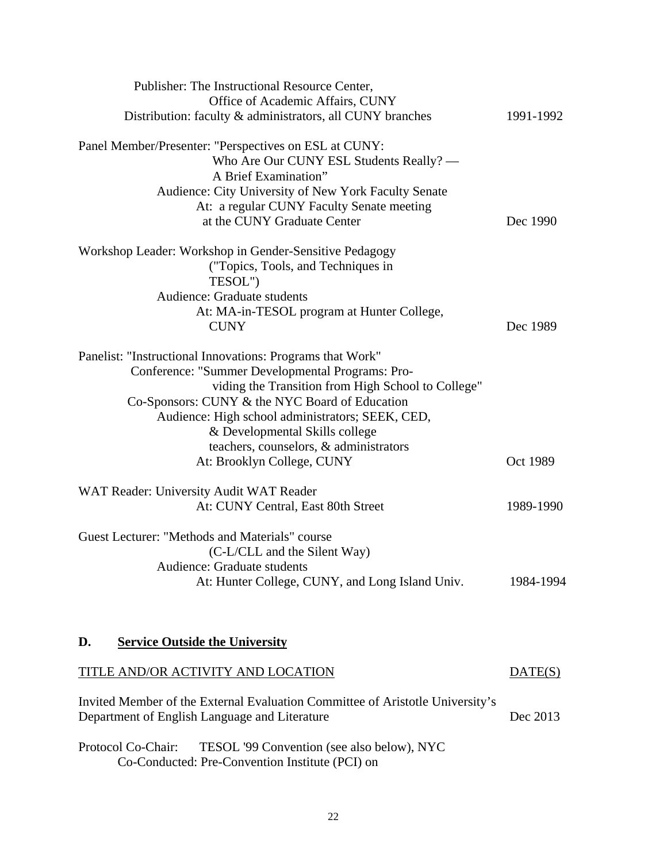| Publisher: The Instructional Resource Center,             |           |
|-----------------------------------------------------------|-----------|
| Office of Academic Affairs, CUNY                          |           |
| Distribution: faculty & administrators, all CUNY branches | 1991-1992 |
| Panel Member/Presenter: "Perspectives on ESL at CUNY:     |           |
| Who Are Our CUNY ESL Students Really? —                   |           |
| A Brief Examination"                                      |           |
| Audience: City University of New York Faculty Senate      |           |
| At: a regular CUNY Faculty Senate meeting                 |           |
| at the CUNY Graduate Center                               | Dec 1990  |
| Workshop Leader: Workshop in Gender-Sensitive Pedagogy    |           |
| ("Topics, Tools, and Techniques in                        |           |
| TESOL")                                                   |           |
| Audience: Graduate students                               |           |
| At: MA-in-TESOL program at Hunter College,                |           |
| <b>CUNY</b>                                               | Dec 1989  |
| Panelist: "Instructional Innovations: Programs that Work" |           |
| Conference: "Summer Developmental Programs: Pro-          |           |
| viding the Transition from High School to College"        |           |
| Co-Sponsors: CUNY & the NYC Board of Education            |           |
| Audience: High school administrators; SEEK, CED,          |           |
| & Developmental Skills college                            |           |
| teachers, counselors, & administrators                    |           |
| At: Brooklyn College, CUNY                                | Oct 1989  |
| WAT Reader: University Audit WAT Reader                   |           |
| At: CUNY Central, East 80th Street                        | 1989-1990 |
| Guest Lecturer: "Methods and Materials" course            |           |
| (C-L/CLL and the Silent Way)                              |           |
| Audience: Graduate students                               |           |
| At: Hunter College, CUNY, and Long Island Univ.           | 1984-1994 |
|                                                           |           |
|                                                           |           |
| <b>Service Outside the University</b><br>D.               |           |

# TITLE AND/OR ACTIVITY AND LOCATION DATE(S)

| Invited Member of the External Evaluation Committee of Aristotle University's |          |
|-------------------------------------------------------------------------------|----------|
| Department of English Language and Literature                                 | Dec 2013 |

Protocol Co-Chair: TESOL '99 Convention (see also below), NYC Co-Conducted: Pre-Convention Institute (PCI) on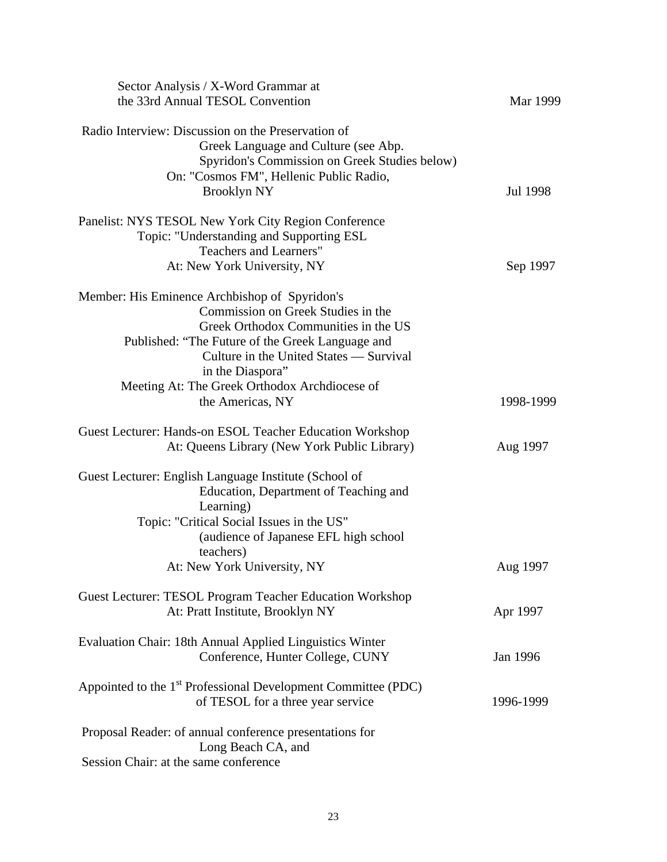| Sector Analysis / X-Word Grammar at<br>the 33rd Annual TESOL Convention   | Mar 1999  |
|---------------------------------------------------------------------------|-----------|
|                                                                           |           |
| Radio Interview: Discussion on the Preservation of                        |           |
| Greek Language and Culture (see Abp.                                      |           |
| Spyridon's Commission on Greek Studies below)                             |           |
| On: "Cosmos FM", Hellenic Public Radio,                                   |           |
| <b>Brooklyn NY</b>                                                        | Jul 1998  |
| Panelist: NYS TESOL New York City Region Conference                       |           |
| Topic: "Understanding and Supporting ESL                                  |           |
| Teachers and Learners"                                                    |           |
| At: New York University, NY                                               | Sep 1997  |
| Member: His Eminence Archbishop of Spyridon's                             |           |
| Commission on Greek Studies in the                                        |           |
| Greek Orthodox Communities in the US                                      |           |
| Published: "The Future of the Greek Language and                          |           |
| Culture in the United States — Survival                                   |           |
| in the Diaspora"                                                          |           |
| Meeting At: The Greek Orthodox Archdiocese of                             |           |
| the Americas, NY                                                          | 1998-1999 |
|                                                                           |           |
| Guest Lecturer: Hands-on ESOL Teacher Education Workshop                  |           |
| At: Queens Library (New York Public Library)                              | Aug 1997  |
| Guest Lecturer: English Language Institute (School of                     |           |
| Education, Department of Teaching and                                     |           |
| Learning)                                                                 |           |
| Topic: "Critical Social Issues in the US"                                 |           |
| (audience of Japanese EFL high school                                     |           |
| teachers)                                                                 |           |
| At: New York University, NY                                               | Aug 1997  |
| Guest Lecturer: TESOL Program Teacher Education Workshop                  |           |
| At: Pratt Institute, Brooklyn NY                                          | Apr 1997  |
| Evaluation Chair: 18th Annual Applied Linguistics Winter                  |           |
| Conference, Hunter College, CUNY                                          | Jan 1996  |
|                                                                           |           |
| Appointed to the 1 <sup>st</sup> Professional Development Committee (PDC) |           |
| of TESOL for a three year service                                         | 1996-1999 |
| Proposal Reader: of annual conference presentations for                   |           |
| Long Beach CA, and                                                        |           |
| Session Chair: at the same conference                                     |           |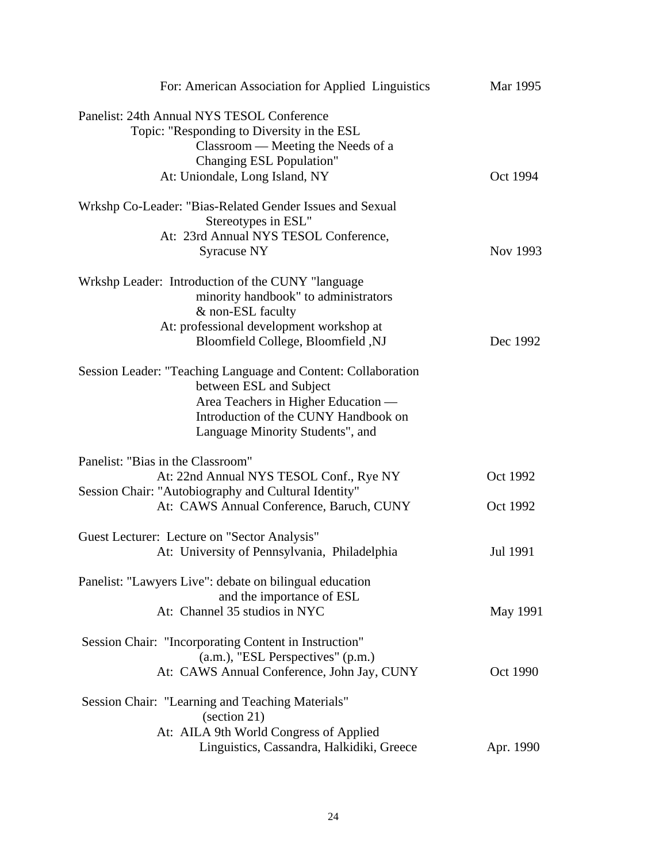| For: American Association for Applied Linguistics                                                                                                                                                           | Mar 1995  |
|-------------------------------------------------------------------------------------------------------------------------------------------------------------------------------------------------------------|-----------|
| Panelist: 24th Annual NYS TESOL Conference<br>Topic: "Responding to Diversity in the ESL<br>Classroom — Meeting the Needs of a<br>Changing ESL Population"<br>At: Uniondale, Long Island, NY                | Oct 1994  |
|                                                                                                                                                                                                             |           |
| Wrkshp Co-Leader: "Bias-Related Gender Issues and Sexual<br>Stereotypes in ESL"<br>At: 23rd Annual NYS TESOL Conference,<br>Syracuse NY                                                                     | Nov 1993  |
| Wrkshp Leader: Introduction of the CUNY "language"<br>minority handbook" to administrators<br>& non-ESL faculty                                                                                             |           |
| At: professional development workshop at<br>Bloomfield College, Bloomfield, NJ                                                                                                                              | Dec 1992  |
| Session Leader: "Teaching Language and Content: Collaboration<br>between ESL and Subject<br>Area Teachers in Higher Education —<br>Introduction of the CUNY Handbook on<br>Language Minority Students", and |           |
| Panelist: "Bias in the Classroom"                                                                                                                                                                           |           |
| At: 22nd Annual NYS TESOL Conf., Rye NY                                                                                                                                                                     | Oct 1992  |
| Session Chair: "Autobiography and Cultural Identity"<br>At: CAWS Annual Conference, Baruch, CUNY                                                                                                            | Oct 1992  |
| Guest Lecturer: Lecture on "Sector Analysis"                                                                                                                                                                |           |
| At: University of Pennsylvania, Philadelphia                                                                                                                                                                | Jul 1991  |
| Panelist: "Lawyers Live": debate on bilingual education<br>and the importance of ESL                                                                                                                        |           |
| At: Channel 35 studios in NYC                                                                                                                                                                               | May 1991  |
| Session Chair: "Incorporating Content in Instruction"<br>$(a.m.),$ "ESL Perspectives" $(p.m.)$<br>At: CAWS Annual Conference, John Jay, CUNY                                                                | Oct 1990  |
| Session Chair: "Learning and Teaching Materials"                                                                                                                                                            |           |
| (section 21)                                                                                                                                                                                                |           |
| At: AILA 9th World Congress of Applied<br>Linguistics, Cassandra, Halkidiki, Greece                                                                                                                         | Apr. 1990 |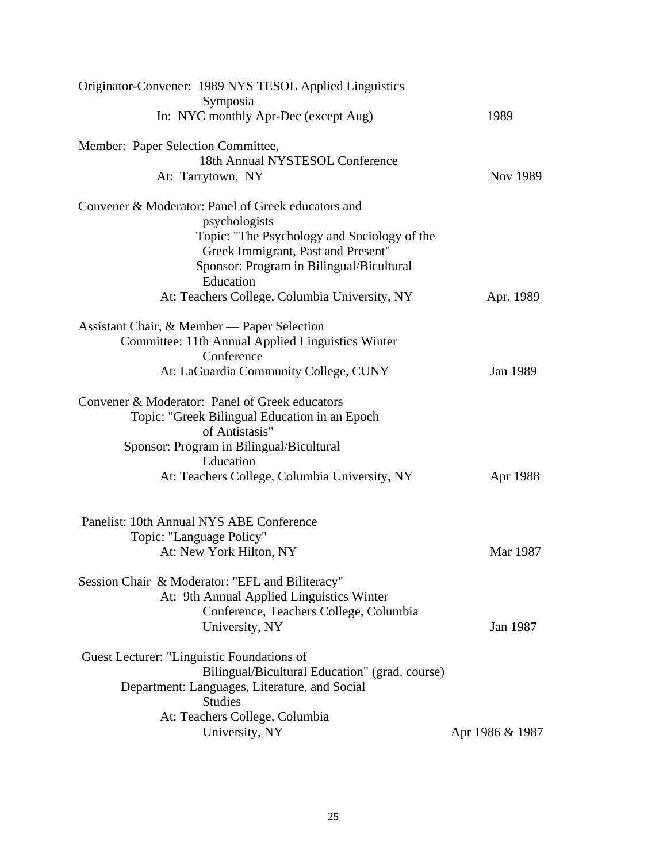| Originator-Convener: 1989 NYS TESOL Applied Linguistics |                 |
|---------------------------------------------------------|-----------------|
| Symposia<br>In: NYC monthly Apr-Dec (except Aug)        | 1989            |
|                                                         |                 |
| Member: Paper Selection Committee,                      |                 |
| 18th Annual NYSTESOL Conference                         |                 |
| At: Tarrytown, NY                                       | Nov 1989        |
| Convener & Moderator: Panel of Greek educators and      |                 |
| psychologists                                           |                 |
| Topic: "The Psychology and Sociology of the             |                 |
| Greek Immigrant, Past and Present"                      |                 |
| Sponsor: Program in Bilingual/Bicultural                |                 |
| Education                                               |                 |
| At: Teachers College, Columbia University, NY           | Apr. 1989       |
| Assistant Chair, & Member — Paper Selection             |                 |
| Committee: 11th Annual Applied Linguistics Winter       |                 |
| Conference                                              |                 |
| At: LaGuardia Community College, CUNY                   | Jan 1989        |
| Convener & Moderator: Panel of Greek educators          |                 |
| Topic: "Greek Bilingual Education in an Epoch           |                 |
| of Antistasis"                                          |                 |
| Sponsor: Program in Bilingual/Bicultural                |                 |
| Education                                               |                 |
| At: Teachers College, Columbia University, NY           | Apr 1988        |
|                                                         |                 |
| Panelist: 10th Annual NYS ABE Conference                |                 |
| Topic: "Language Policy"                                |                 |
| At: New York Hilton, NY                                 | Mar 1987        |
| Session Chair & Moderator: "EFL and Biliteracy"         |                 |
| At: 9th Annual Applied Linguistics Winter               |                 |
| Conference, Teachers College, Columbia                  |                 |
| University, NY                                          | Jan 1987        |
| Guest Lecturer: "Linguistic Foundations of              |                 |
| Bilingual/Bicultural Education" (grad. course)          |                 |
| Department: Languages, Literature, and Social           |                 |
| <b>Studies</b>                                          |                 |
| At: Teachers College, Columbia                          |                 |
| University, NY                                          | Apr 1986 & 1987 |